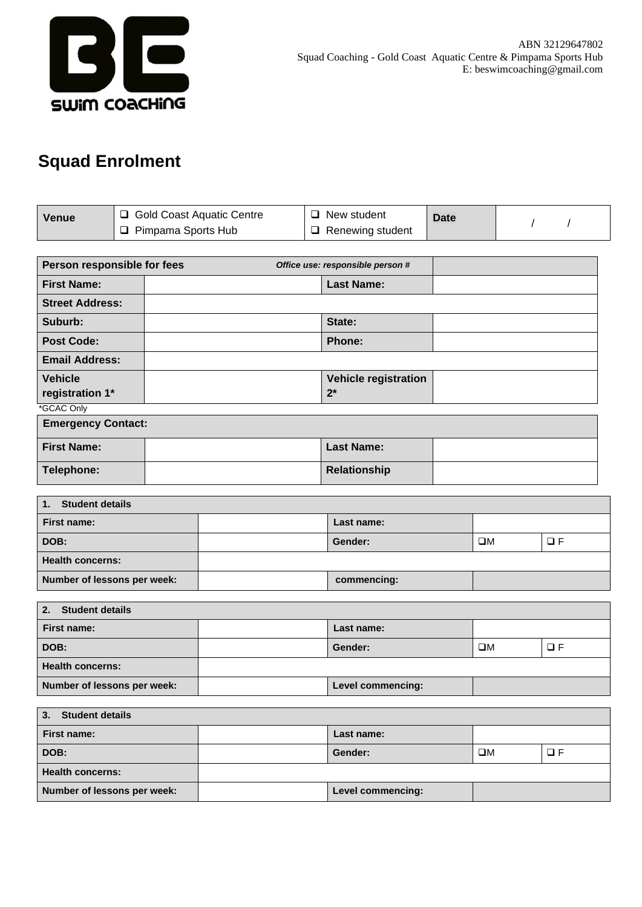

## **Squad Enrolment**

| Venue | <b>Gold Coast Aquatic Centre</b> | $\Box$ New student      | <b>Date</b> |  |
|-------|----------------------------------|-------------------------|-------------|--|
|       | Pimpama Sports Hub               | $\Box$ Renewing student |             |  |

| Person responsible for fees |  | Office use: responsible person # |  |
|-----------------------------|--|----------------------------------|--|
| <b>First Name:</b>          |  | <b>Last Name:</b>                |  |
| <b>Street Address:</b>      |  |                                  |  |
| Suburb:                     |  | State:                           |  |
| <b>Post Code:</b>           |  | <b>Phone:</b>                    |  |
| <b>Email Address:</b>       |  |                                  |  |
| <b>Vehicle</b>              |  | <b>Vehicle registration</b>      |  |
| registration 1*             |  | $2^*$                            |  |
| *GCAC Only                  |  |                                  |  |

| <b>Emergency Contact:</b> |  |                   |  |  |
|---------------------------|--|-------------------|--|--|
| <b>First Name:</b>        |  | <b>Last Name:</b> |  |  |
| Telephone:                |  | Relationship      |  |  |

| <b>Student details</b><br>ฯ. |  |             |    |     |  |
|------------------------------|--|-------------|----|-----|--|
| First name:                  |  | Last name:  |    |     |  |
| DOB:                         |  | Gender:     | ΠМ | コ F |  |
| <b>Health concerns:</b>      |  |             |    |     |  |
| Number of lessons per week:  |  | commencing: |    |     |  |

| <b>Student details</b><br>2. |  |                   |    |    |
|------------------------------|--|-------------------|----|----|
| First name:                  |  | Last name:        |    |    |
| DOB:                         |  | Gender:           | ΠМ | ПF |
| <b>Health concerns:</b>      |  |                   |    |    |
| Number of lessons per week:  |  | Level commencing: |    |    |

| <b>Student details</b><br>3. |  |                   |    |    |  |
|------------------------------|--|-------------------|----|----|--|
| First name:                  |  | Last name:        |    |    |  |
| DOB:                         |  | Gender:           | OМ | コF |  |
| <b>Health concerns:</b>      |  |                   |    |    |  |
| Number of lessons per week:  |  | Level commencing: |    |    |  |